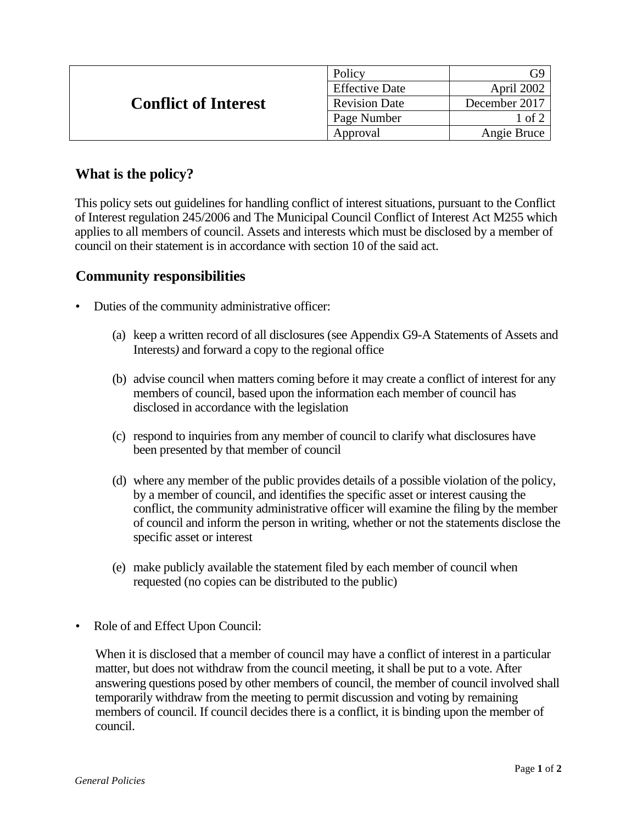| <b>Conflict of Interest</b> | Policy                |                  |
|-----------------------------|-----------------------|------------------|
|                             | <b>Effective Date</b> | April 2002       |
|                             | <b>Revision Date</b>  | December 2017    |
|                             | Page Number           | $1$ of $\degree$ |
|                             | Approval              | Angie Bruce      |

## **What is the policy?**

This policy sets out guidelines for handling conflict of interest situations, pursuant to the Conflict of Interest regulation 245/2006 and The Municipal Council Conflict of Interest Act M255 which applies to all members of council. Assets and interests which must be disclosed by a member of council on their statement is in accordance with section 10 of the said act.

## **Community responsibilities**

- Duties of the community administrative officer:
	- (a) keep a written record of all disclosures (see Appendix G9-A Statements of Assets and Interests*)* and forward a copy to the regional office
	- (b) advise council when matters coming before it may create a conflict of interest for any members of council, based upon the information each member of council has disclosed in accordance with the legislation
	- (c) respond to inquiries from any member of council to clarify what disclosures have been presented by that member of council
	- (d) where any member of the public provides details of a possible violation of the policy, by a member of council, and identifies the specific asset or interest causing the conflict, the community administrative officer will examine the filing by the member of council and inform the person in writing, whether or not the statements disclose the specific asset or interest
	- (e) make publicly available the statement filed by each member of council when requested (no copies can be distributed to the public)
- Role of and Effect Upon Council:

When it is disclosed that a member of council may have a conflict of interest in a particular matter, but does not withdraw from the council meeting, it shall be put to a vote. After answering questions posed by other members of council, the member of council involved shall temporarily withdraw from the meeting to permit discussion and voting by remaining members of council. If council decides there is a conflict, it is binding upon the member of council.